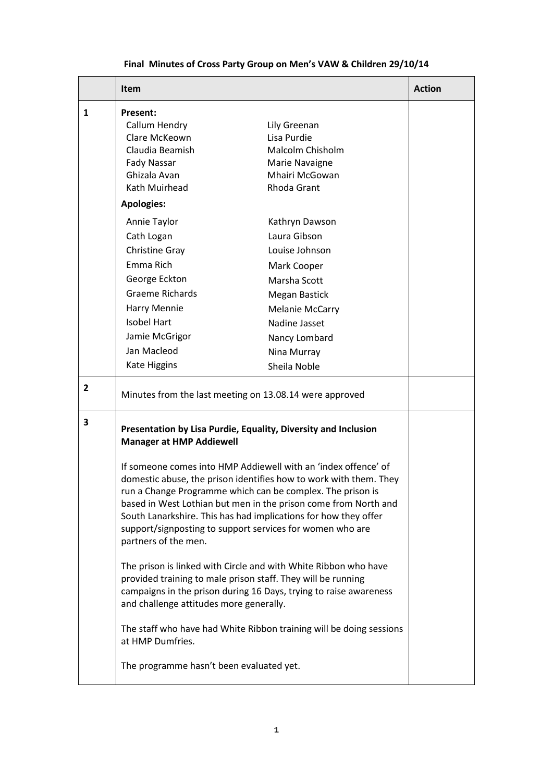## **Final Minutes of Cross Party Group on Men's VAW & Children 29/10/14**

|                | <b>Item</b>                                                                                                                                                                                                                                                                                                                                                                                                                                                                                                                                                                                                                                                                                                                                                                                                                                                                                                                 |                                                                                                                                                                                             | <b>Action</b> |
|----------------|-----------------------------------------------------------------------------------------------------------------------------------------------------------------------------------------------------------------------------------------------------------------------------------------------------------------------------------------------------------------------------------------------------------------------------------------------------------------------------------------------------------------------------------------------------------------------------------------------------------------------------------------------------------------------------------------------------------------------------------------------------------------------------------------------------------------------------------------------------------------------------------------------------------------------------|---------------------------------------------------------------------------------------------------------------------------------------------------------------------------------------------|---------------|
| 1              | Present:<br>Callum Hendry<br>Clare McKeown<br>Claudia Beamish<br>Fady Nassar<br>Ghizala Avan<br>Kath Muirhead                                                                                                                                                                                                                                                                                                                                                                                                                                                                                                                                                                                                                                                                                                                                                                                                               | Lily Greenan<br>Lisa Purdie<br>Malcolm Chisholm<br>Marie Navaigne<br>Mhairi McGowan<br>Rhoda Grant                                                                                          |               |
|                | <b>Apologies:</b>                                                                                                                                                                                                                                                                                                                                                                                                                                                                                                                                                                                                                                                                                                                                                                                                                                                                                                           |                                                                                                                                                                                             |               |
|                | Annie Taylor<br>Cath Logan<br>Christine Gray<br>Emma Rich<br>George Eckton<br><b>Graeme Richards</b><br>Harry Mennie<br><b>Isobel Hart</b><br>Jamie McGrigor<br>Jan Macleod<br><b>Kate Higgins</b>                                                                                                                                                                                                                                                                                                                                                                                                                                                                                                                                                                                                                                                                                                                          | Kathryn Dawson<br>Laura Gibson<br>Louise Johnson<br>Mark Cooper<br>Marsha Scott<br>Megan Bastick<br><b>Melanie McCarry</b><br>Nadine Jasset<br>Nancy Lombard<br>Nina Murray<br>Sheila Noble |               |
| $\overline{2}$ | Minutes from the last meeting on 13.08.14 were approved                                                                                                                                                                                                                                                                                                                                                                                                                                                                                                                                                                                                                                                                                                                                                                                                                                                                     |                                                                                                                                                                                             |               |
| 3              | Presentation by Lisa Purdie, Equality, Diversity and Inclusion<br><b>Manager at HMP Addiewell</b><br>If someone comes into HMP Addiewell with an 'index offence' of<br>domestic abuse, the prison identifies how to work with them. They<br>run a Change Programme which can be complex. The prison is<br>based in West Lothian but men in the prison come from North and<br>South Lanarkshire. This has had implications for how they offer<br>support/signposting to support services for women who are<br>partners of the men.<br>The prison is linked with Circle and with White Ribbon who have<br>provided training to male prison staff. They will be running<br>campaigns in the prison during 16 Days, trying to raise awareness<br>and challenge attitudes more generally.<br>The staff who have had White Ribbon training will be doing sessions<br>at HMP Dumfries.<br>The programme hasn't been evaluated yet. |                                                                                                                                                                                             |               |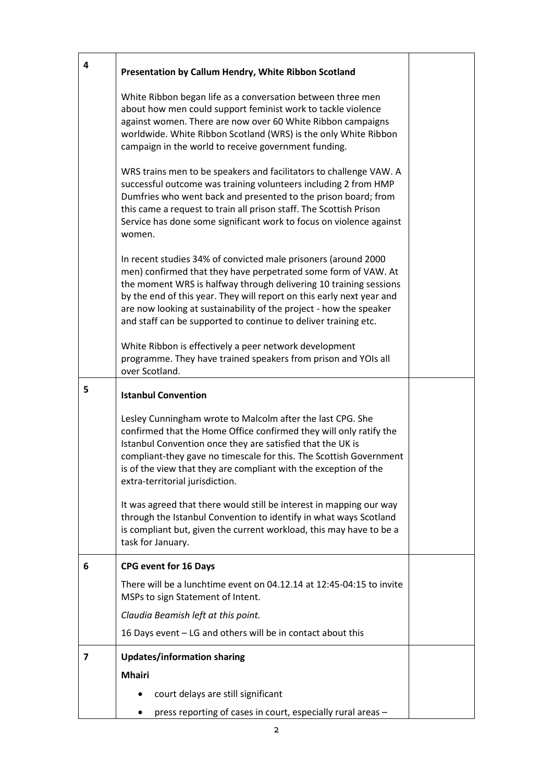| 4 | Presentation by Callum Hendry, White Ribbon Scotland                                                                                                                                                                                                                                                                                                                                                                    |  |  |
|---|-------------------------------------------------------------------------------------------------------------------------------------------------------------------------------------------------------------------------------------------------------------------------------------------------------------------------------------------------------------------------------------------------------------------------|--|--|
|   | White Ribbon began life as a conversation between three men<br>about how men could support feminist work to tackle violence<br>against women. There are now over 60 White Ribbon campaigns<br>worldwide. White Ribbon Scotland (WRS) is the only White Ribbon<br>campaign in the world to receive government funding.                                                                                                   |  |  |
|   | WRS trains men to be speakers and facilitators to challenge VAW. A<br>successful outcome was training volunteers including 2 from HMP<br>Dumfries who went back and presented to the prison board; from<br>this came a request to train all prison staff. The Scottish Prison<br>Service has done some significant work to focus on violence against<br>women.                                                          |  |  |
|   | In recent studies 34% of convicted male prisoners (around 2000<br>men) confirmed that they have perpetrated some form of VAW. At<br>the moment WRS is halfway through delivering 10 training sessions<br>by the end of this year. They will report on this early next year and<br>are now looking at sustainability of the project - how the speaker<br>and staff can be supported to continue to deliver training etc. |  |  |
|   | White Ribbon is effectively a peer network development<br>programme. They have trained speakers from prison and YOIs all<br>over Scotland.                                                                                                                                                                                                                                                                              |  |  |
| 5 | <b>Istanbul Convention</b>                                                                                                                                                                                                                                                                                                                                                                                              |  |  |
|   | Lesley Cunningham wrote to Malcolm after the last CPG. She<br>confirmed that the Home Office confirmed they will only ratify the<br>Istanbul Convention once they are satisfied that the UK is<br>compliant-they gave no timescale for this. The Scottish Government<br>is of the view that they are compliant with the exception of the<br>extra-territorial jurisdiction.                                             |  |  |
|   | It was agreed that there would still be interest in mapping our way<br>through the Istanbul Convention to identify in what ways Scotland<br>is compliant but, given the current workload, this may have to be a<br>task for January.                                                                                                                                                                                    |  |  |
| 6 | <b>CPG event for 16 Days</b>                                                                                                                                                                                                                                                                                                                                                                                            |  |  |
|   | There will be a lunchtime event on 04.12.14 at 12:45-04:15 to invite<br>MSPs to sign Statement of Intent.                                                                                                                                                                                                                                                                                                               |  |  |
|   | Claudia Beamish left at this point.                                                                                                                                                                                                                                                                                                                                                                                     |  |  |
|   | 16 Days event - LG and others will be in contact about this                                                                                                                                                                                                                                                                                                                                                             |  |  |
| 7 | <b>Updates/information sharing</b>                                                                                                                                                                                                                                                                                                                                                                                      |  |  |
|   | <b>Mhairi</b>                                                                                                                                                                                                                                                                                                                                                                                                           |  |  |
|   | court delays are still significant                                                                                                                                                                                                                                                                                                                                                                                      |  |  |
|   | press reporting of cases in court, especially rural areas -                                                                                                                                                                                                                                                                                                                                                             |  |  |